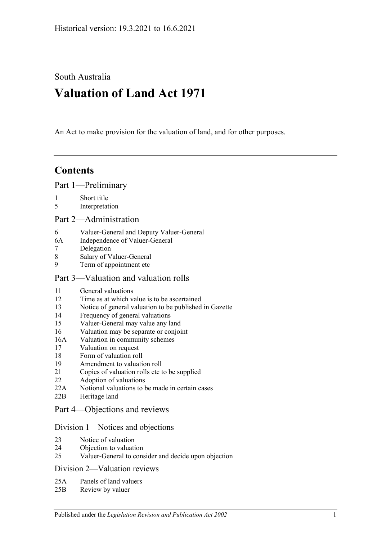South Australia

# **Valuation of Land Act 1971**

An Act to make provision for the valuation of land, and for other purposes.

## **Contents**

[Part 1—Preliminary](#page-1-0)

- 1 [Short title](#page-1-1)
- 5 [Interpretation](#page-1-2)

#### [Part 2—Administration](#page-4-0)

- 6 [Valuer-General and Deputy Valuer-General](#page-4-1)
- 6A [Independence of Valuer-General](#page-4-2)
- 7 [Delegation](#page-4-3)
- 8 [Salary of Valuer-General](#page-4-4)<br>9 Term of appointment etc
- [Term of appointment etc](#page-4-5)

#### [Part 3—Valuation and valuation rolls](#page-6-0)

- 11 General [valuations](#page-6-1)
- 12 [Time as at which value is to be ascertained](#page-6-2)
- 13 [Notice of general valuation to be published in Gazette](#page-6-3)
- 14 [Frequency of general valuations](#page-6-4)
- 15 [Valuer-General may value any land](#page-7-0)
- 16 [Valuation may be separate or conjoint](#page-7-1)
- 16A [Valuation in community schemes](#page-7-2)
- 17 [Valuation on request](#page-7-3)
- 18 [Form of valuation roll](#page-8-0)
- 19 [Amendment to valuation roll](#page-8-1)
- 21 [Copies of valuation rolls etc to be supplied](#page-9-0)
- 22 [Adoption of valuations](#page-9-1)
- 22A [Notional valuations to be made in certain cases](#page-9-2)
- 22B [Heritage land](#page-11-0)

## [Part 4—Objections and reviews](#page-12-0)

#### [Division 1—Notices and objections](#page-12-1)

- 23 [Notice of valuation](#page-12-2)
- 24 [Objection to valuation](#page-12-3)
- 25 [Valuer-General to consider and decide upon objection](#page-13-0)

#### [Division 2—Valuation reviews](#page-13-1)

- 25A [Panels of land valuers](#page-13-2)
- 25B [Review by valuer](#page-14-0)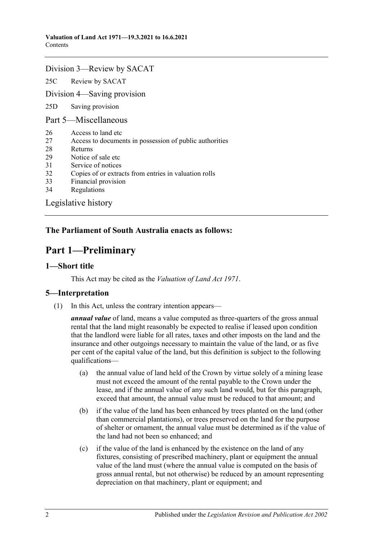#### [Division 3—Review by SACAT](#page-15-0)

25C [Review by SACAT](#page-15-1)

[Division 4—Saving provision](#page-15-2)

25D [Saving provision](#page-15-3)

[Part 5—Miscellaneous](#page-16-0)

- 26 [Access to land etc](#page-16-1)
- 27 [Access to documents in possession of public authorities](#page-16-2)
- 28 [Returns](#page-16-3)
- 29 [Notice of sale etc](#page-17-0)
- 31 [Service of notices](#page-17-1)
- 32 [Copies of or extracts from entries in valuation rolls](#page-17-2)
- 33 [Financial provision](#page-17-3)
- 34 [Regulations](#page-18-0)

[Legislative history](#page-19-0)

## <span id="page-1-0"></span>**The Parliament of South Australia enacts as follows:**

## **Part 1—Preliminary**

#### <span id="page-1-1"></span>**1—Short title**

This Act may be cited as the *Valuation of Land Act 1971*.

#### <span id="page-1-2"></span>**5—Interpretation**

(1) In this Act, unless the contrary intention appears—

*annual value* of land, means a value computed as three-quarters of the gross annual rental that the land might reasonably be expected to realise if leased upon condition that the landlord were liable for all rates, taxes and other imposts on the land and the insurance and other outgoings necessary to maintain the value of the land, or as five per cent of the capital value of the land, but this definition is subject to the following qualifications—

- (a) the annual value of land held of the Crown by virtue solely of a mining lease must not exceed the amount of the rental payable to the Crown under the lease, and if the annual value of any such land would, but for this paragraph, exceed that amount, the annual value must be reduced to that amount; and
- (b) if the value of the land has been enhanced by trees planted on the land (other than commercial plantations), or trees preserved on the land for the purpose of shelter or ornament, the annual value must be determined as if the value of the land had not been so enhanced; and
- (c) if the value of the land is enhanced by the existence on the land of any fixtures, consisting of prescribed machinery, plant or equipment the annual value of the land must (where the annual value is computed on the basis of gross annual rental, but not otherwise) be reduced by an amount representing depreciation on that machinery, plant or equipment; and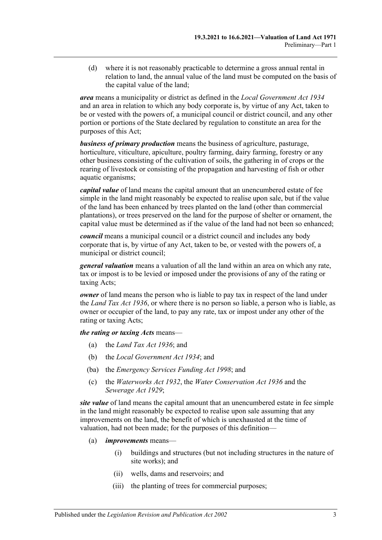(d) where it is not reasonably practicable to determine a gross annual rental in relation to land, the annual value of the land must be computed on the basis of the capital value of the land;

*area* means a municipality or district as defined in the *[Local Government Act](http://www.legislation.sa.gov.au/index.aspx?action=legref&type=act&legtitle=Local%20Government%20Act%201934) 1934* and an area in relation to which any body corporate is, by virtue of any Act, taken to be or vested with the powers of, a municipal council or district council, and any other portion or portions of the State declared by regulation to constitute an area for the purposes of this Act;

*business of primary production* means the business of agriculture, pasturage, horticulture, viticulture, apiculture, poultry farming, dairy farming, forestry or any other business consisting of the cultivation of soils, the gathering in of crops or the rearing of livestock or consisting of the propagation and harvesting of fish or other aquatic organisms;

*capital value* of land means the capital amount that an unencumbered estate of fee simple in the land might reasonably be expected to realise upon sale, but if the value of the land has been enhanced by trees planted on the land (other than commercial plantations), or trees preserved on the land for the purpose of shelter or ornament, the capital value must be determined as if the value of the land had not been so enhanced;

*council* means a municipal council or a district council and includes any body corporate that is, by virtue of any Act, taken to be, or vested with the powers of, a municipal or district council;

*general valuation* means a valuation of all the land within an area on which any rate, tax or impost is to be levied or imposed under the provisions of any of the rating or taxing Acts;

*owner* of land means the person who is liable to pay tax in respect of the land under the *[Land Tax Act](http://www.legislation.sa.gov.au/index.aspx?action=legref&type=act&legtitle=Land%20Tax%20Act%201936) 1936*, or where there is no person so liable, a person who is liable, as owner or occupier of the land, to pay any rate, tax or impost under any other of the rating or taxing Acts;

*the rating or taxing Acts* means—

- (a) the *[Land Tax Act](http://www.legislation.sa.gov.au/index.aspx?action=legref&type=act&legtitle=Land%20Tax%20Act%201936) 1936*; and
- (b) the *[Local Government Act](http://www.legislation.sa.gov.au/index.aspx?action=legref&type=act&legtitle=Local%20Government%20Act%201934) 1934*; and
- (ba) the *[Emergency Services Funding Act](http://www.legislation.sa.gov.au/index.aspx?action=legref&type=act&legtitle=Emergency%20Services%20Funding%20Act%201998) 1998*; and
- (c) the *[Waterworks Act](http://www.legislation.sa.gov.au/index.aspx?action=legref&type=act&legtitle=Waterworks%20Act%201932) 1932*, the *[Water Conservation Act](http://www.legislation.sa.gov.au/index.aspx?action=legref&type=act&legtitle=Water%20Conservation%20Act%201936) 1936* and the *[Sewerage Act](http://www.legislation.sa.gov.au/index.aspx?action=legref&type=act&legtitle=Sewerage%20Act%201929) 1929*;

*site value* of land means the capital amount that an unencumbered estate in fee simple in the land might reasonably be expected to realise upon sale assuming that any improvements on the land, the benefit of which is unexhausted at the time of valuation, had not been made; for the purposes of this definition—

- (a) *improvements* means—
	- (i) buildings and structures (but not including structures in the nature of site works); and
	- (ii) wells, dams and reservoirs; and
	- (iii) the planting of trees for commercial purposes;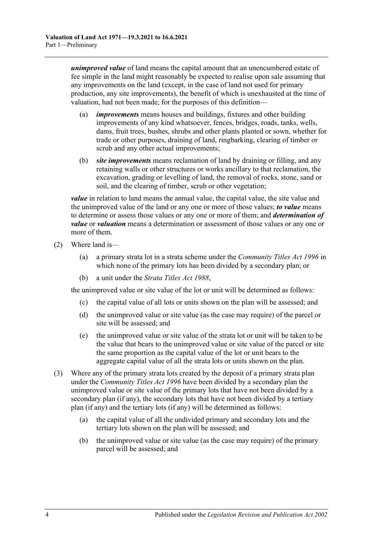*unimproved value* of land means the capital amount that an unencumbered estate of fee simple in the land might reasonably be expected to realise upon sale assuming that any improvements on the land (except, in the case of land not used for primary production, any site improvements), the benefit of which is unexhausted at the time of valuation, had not been made; for the purposes of this definition—

- (a) *improvements* means houses and buildings, fixtures and other building improvements of any kind whatsoever, fences, bridges, roads, tanks, wells, dams, fruit trees, bushes, shrubs and other plants planted or sown, whether for trade or other purposes, draining of land, ringbarking, clearing of timber or scrub and any other actual improvements;
- (b) *site improvements* means reclamation of land by draining or filling, and any retaining walls or other structures or works ancillary to that reclamation, the excavation, grading or levelling of land, the removal of rocks, stone, sand or soil, and the clearing of timber, scrub or other vegetation;

*value* in relation to land means the annual value, the capital value, the site value and the unimproved value of the land or any one or more of those values; *to value* means to determine or assess those values or any one or more of them; and *determination of value* or *valuation* means a determination or assessment of those values or any one or more of them.

- (2) Where land is—
	- (a) a primary strata lot in a strata scheme under the *[Community Titles Act](http://www.legislation.sa.gov.au/index.aspx?action=legref&type=act&legtitle=Community%20Titles%20Act%201996) 1996* in which none of the primary lots has been divided by a secondary plan; or
	- (b) a unit under the *[Strata Titles Act](http://www.legislation.sa.gov.au/index.aspx?action=legref&type=act&legtitle=Strata%20Titles%20Act%201988) 1988*,

the unimproved value or site value of the lot or unit will be determined as follows:

- (c) the capital value of all lots or units shown on the plan will be assessed; and
- (d) the unimproved value or site value (as the case may require) of the parcel or site will be assessed; and
- (e) the unimproved value or site value of the strata lot or unit will be taken to be the value that bears to the unimproved value or site value of the parcel or site the same proportion as the capital value of the lot or unit bears to the aggregate capital value of all the strata lots or units shown on the plan.
- (3) Where any of the primary strata lots created by the deposit of a primary strata plan under the *[Community Titles Act](http://www.legislation.sa.gov.au/index.aspx?action=legref&type=act&legtitle=Community%20Titles%20Act%201996) 1996* have been divided by a secondary plan the unimproved value or site value of the primary lots that have not been divided by a secondary plan (if any), the secondary lots that have not been divided by a tertiary plan (if any) and the tertiary lots (if any) will be determined as follows:
	- (a) the capital value of all the undivided primary and secondary lots and the tertiary lots shown on the plan will be assessed; and
	- (b) the unimproved value or site value (as the case may require) of the primary parcel will be assessed; and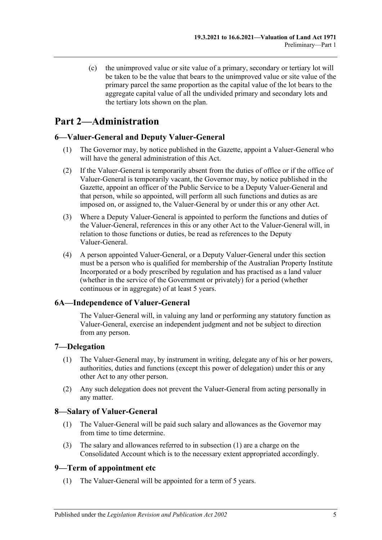(c) the unimproved value or site value of a primary, secondary or tertiary lot will be taken to be the value that bears to the unimproved value or site value of the primary parcel the same proportion as the capital value of the lot bears to the aggregate capital value of all the undivided primary and secondary lots and the tertiary lots shown on the plan.

## <span id="page-4-0"></span>**Part 2—Administration**

## <span id="page-4-1"></span>**6—Valuer-General and Deputy Valuer-General**

- (1) The Governor may, by notice published in the Gazette, appoint a Valuer-General who will have the general administration of this Act.
- (2) If the Valuer-General is temporarily absent from the duties of office or if the office of Valuer-General is temporarily vacant, the Governor may, by notice published in the Gazette, appoint an officer of the Public Service to be a Deputy Valuer-General and that person, while so appointed, will perform all such functions and duties as are imposed on, or assigned to, the Valuer-General by or under this or any other Act.
- (3) Where a Deputy Valuer-General is appointed to perform the functions and duties of the Valuer-General, references in this or any other Act to the Valuer-General will, in relation to those functions or duties, be read as references to the Deputy Valuer-General.
- (4) A person appointed Valuer-General, or a Deputy Valuer-General under this section must be a person who is qualified for membership of the Australian Property Institute Incorporated or a body prescribed by regulation and has practised as a land valuer (whether in the service of the Government or privately) for a period (whether continuous or in aggregate) of at least 5 years.

## <span id="page-4-2"></span>**6A—Independence of Valuer-General**

The Valuer-General will, in valuing any land or performing any statutory function as Valuer-General, exercise an independent judgment and not be subject to direction from any person.

#### <span id="page-4-3"></span>**7—Delegation**

- (1) The Valuer-General may, by instrument in writing, delegate any of his or her powers, authorities, duties and functions (except this power of delegation) under this or any other Act to any other person.
- (2) Any such delegation does not prevent the Valuer-General from acting personally in any matter.

#### <span id="page-4-6"></span><span id="page-4-4"></span>**8—Salary of Valuer-General**

- (1) The Valuer-General will be paid such salary and allowances as the Governor may from time to time determine.
- (3) The salary and allowances referred to in [subsection](#page-4-6) (1) are a charge on the Consolidated Account which is to the necessary extent appropriated accordingly.

#### <span id="page-4-5"></span>**9—Term of appointment etc**

(1) The Valuer-General will be appointed for a term of 5 years.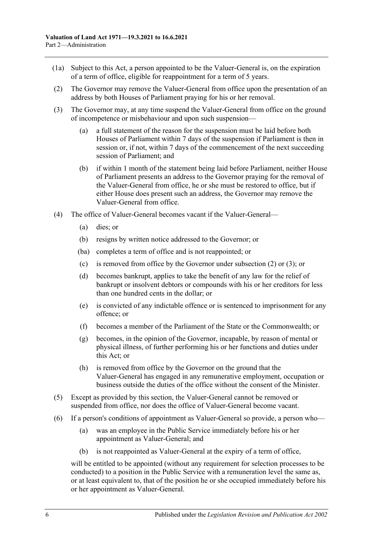- (1a) Subject to this Act, a person appointed to be the Valuer-General is, on the expiration of a term of office, eligible for reappointment for a term of 5 years.
- <span id="page-5-0"></span>(2) The Governor may remove the Valuer-General from office upon the presentation of an address by both Houses of Parliament praying for his or her removal.
- <span id="page-5-1"></span>(3) The Governor may, at any time suspend the Valuer-General from office on the ground of incompetence or misbehaviour and upon such suspension—
	- (a) a full statement of the reason for the suspension must be laid before both Houses of Parliament within 7 days of the suspension if Parliament is then in session or, if not, within 7 days of the commencement of the next succeeding session of Parliament; and
	- (b) if within 1 month of the statement being laid before Parliament, neither House of Parliament presents an address to the Governor praying for the removal of the Valuer-General from office, he or she must be restored to office, but if either House does present such an address, the Governor may remove the Valuer-General from office.
- (4) The office of Valuer-General becomes vacant if the Valuer-General—
	- (a) dies; or
	- (b) resigns by written notice addressed to the Governor; or
	- (ba) completes a term of office and is not reappointed; or
	- (c) is removed from office by the Governor under [subsection](#page-5-0) (2) or [\(3\);](#page-5-1) or
	- (d) becomes bankrupt, applies to take the benefit of any law for the relief of bankrupt or insolvent debtors or compounds with his or her creditors for less than one hundred cents in the dollar; or
	- (e) is convicted of any indictable offence or is sentenced to imprisonment for any offence; or
	- (f) becomes a member of the Parliament of the State or the Commonwealth; or
	- (g) becomes, in the opinion of the Governor, incapable, by reason of mental or physical illness, of further performing his or her functions and duties under this Act; or
	- (h) is removed from office by the Governor on the ground that the Valuer-General has engaged in any remunerative employment, occupation or business outside the duties of the office without the consent of the Minister.
- (5) Except as provided by this section, the Valuer-General cannot be removed or suspended from office, nor does the office of Valuer-General become vacant.
- (6) If a person's conditions of appointment as Valuer-General so provide, a person who—
	- (a) was an employee in the Public Service immediately before his or her appointment as Valuer-General; and
	- (b) is not reappointed as Valuer-General at the expiry of a term of office,

will be entitled to be appointed (without any requirement for selection processes to be conducted) to a position in the Public Service with a remuneration level the same as, or at least equivalent to, that of the position he or she occupied immediately before his or her appointment as Valuer-General.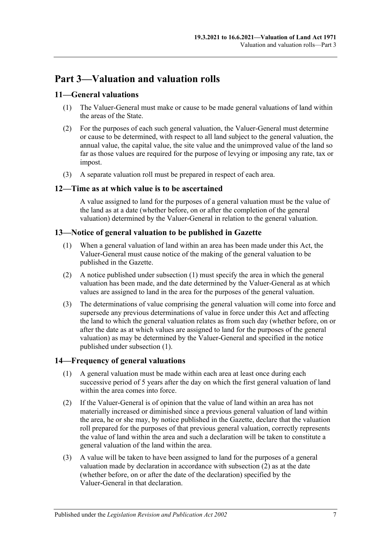## <span id="page-6-0"></span>**Part 3—Valuation and valuation rolls**

### <span id="page-6-1"></span>**11—General valuations**

- (1) The Valuer-General must make or cause to be made general valuations of land within the areas of the State.
- (2) For the purposes of each such general valuation, the Valuer-General must determine or cause to be determined, with respect to all land subject to the general valuation, the annual value, the capital value, the site value and the unimproved value of the land so far as those values are required for the purpose of levying or imposing any rate, tax or impost.
- (3) A separate valuation roll must be prepared in respect of each area.

#### <span id="page-6-2"></span>**12—Time as at which value is to be ascertained**

A value assigned to land for the purposes of a general valuation must be the value of the land as at a date (whether before, on or after the completion of the general valuation) determined by the Valuer-General in relation to the general valuation.

#### <span id="page-6-5"></span><span id="page-6-3"></span>**13—Notice of general valuation to be published in Gazette**

- (1) When a general valuation of land within an area has been made under this Act, the Valuer-General must cause notice of the making of the general valuation to be published in the Gazette.
- (2) A notice published under [subsection](#page-6-5) (1) must specify the area in which the general valuation has been made, and the date determined by the Valuer-General as at which values are assigned to land in the area for the purposes of the general valuation.
- (3) The determinations of value comprising the general valuation will come into force and supersede any previous determinations of value in force under this Act and affecting the land to which the general valuation relates as from such day (whether before, on or after the date as at which values are assigned to land for the purposes of the general valuation) as may be determined by the Valuer-General and specified in the notice published under [subsection](#page-6-5) (1).

#### <span id="page-6-4"></span>**14—Frequency of general valuations**

- (1) A general valuation must be made within each area at least once during each successive period of 5 years after the day on which the first general valuation of land within the area comes into force.
- <span id="page-6-6"></span>(2) If the Valuer-General is of opinion that the value of land within an area has not materially increased or diminished since a previous general valuation of land within the area, he or she may, by notice published in the Gazette, declare that the valuation roll prepared for the purposes of that previous general valuation, correctly represents the value of land within the area and such a declaration will be taken to constitute a general valuation of the land within the area.
- (3) A value will be taken to have been assigned to land for the purposes of a general valuation made by declaration in accordance with [subsection](#page-6-6) (2) as at the date (whether before, on or after the date of the declaration) specified by the Valuer-General in that declaration.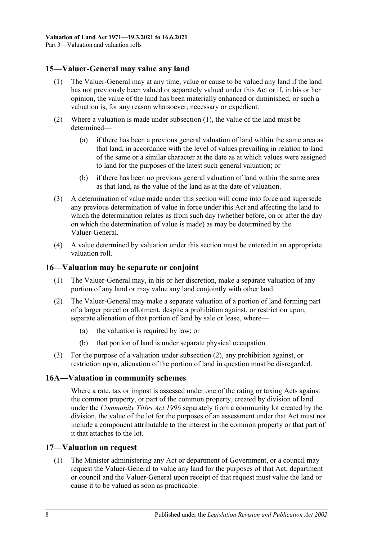### <span id="page-7-4"></span><span id="page-7-0"></span>**15—Valuer-General may value any land**

- (1) The Valuer-General may at any time, value or cause to be valued any land if the land has not previously been valued or separately valued under this Act or if, in his or her opinion, the value of the land has been materially enhanced or diminished, or such a valuation is, for any reason whatsoever, necessary or expedient.
- (2) Where a valuation is made under [subsection](#page-7-4) (1), the value of the land must be determined—
	- (a) if there has been a previous general valuation of land within the same area as that land, in accordance with the level of values prevailing in relation to land of the same or a similar character at the date as at which values were assigned to land for the purposes of the latest such general valuation; or
	- (b) if there has been no previous general valuation of land within the same area as that land, as the value of the land as at the date of valuation.
- (3) A determination of value made under this section will come into force and supersede any previous determination of value in force under this Act and affecting the land to which the determination relates as from such day (whether before, on or after the day on which the determination of value is made) as may be determined by the Valuer-General.
- (4) A value determined by valuation under this section must be entered in an appropriate valuation roll.

#### <span id="page-7-1"></span>**16—Valuation may be separate or conjoint**

- (1) The Valuer-General may, in his or her discretion, make a separate valuation of any portion of any land or may value any land conjointly with other land.
- <span id="page-7-5"></span>(2) The Valuer-General may make a separate valuation of a portion of land forming part of a larger parcel or allotment, despite a prohibition against, or restriction upon, separate alienation of that portion of land by sale or lease, where—
	- (a) the valuation is required by law; or
	- (b) that portion of land is under separate physical occupation.
- (3) For the purpose of a valuation under [subsection](#page-7-5) (2), any prohibition against, or restriction upon, alienation of the portion of land in question must be disregarded.

#### <span id="page-7-2"></span>**16A—Valuation in community schemes**

Where a rate, tax or impost is assessed under one of the rating or taxing Acts against the common property, or part of the common property, created by division of land under the *[Community Titles Act](http://www.legislation.sa.gov.au/index.aspx?action=legref&type=act&legtitle=Community%20Titles%20Act%201996) 1996* separately from a community lot created by the division, the value of the lot for the purposes of an assessment under that Act must not include a component attributable to the interest in the common property or that part of it that attaches to the lot.

#### <span id="page-7-6"></span><span id="page-7-3"></span>**17—Valuation on request**

(1) The Minister administering any Act or department of Government, or a council may request the Valuer-General to value any land for the purposes of that Act, department or council and the Valuer-General upon receipt of that request must value the land or cause it to be valued as soon as practicable.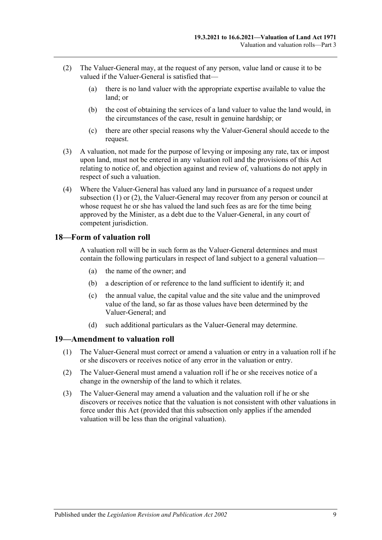- <span id="page-8-2"></span>(2) The Valuer-General may, at the request of any person, value land or cause it to be valued if the Valuer-General is satisfied that—
	- (a) there is no land valuer with the appropriate expertise available to value the land; or
	- (b) the cost of obtaining the services of a land valuer to value the land would, in the circumstances of the case, result in genuine hardship; or
	- (c) there are other special reasons why the Valuer-General should accede to the request.
- (3) A valuation, not made for the purpose of levying or imposing any rate, tax or impost upon land, must not be entered in any valuation roll and the provisions of this Act relating to notice of, and objection against and review of, valuations do not apply in respect of such a valuation.
- (4) Where the Valuer-General has valued any land in pursuance of a request under [subsection](#page-7-6) (1) or [\(2\),](#page-8-2) the Valuer-General may recover from any person or council at whose request he or she has valued the land such fees as are for the time being approved by the Minister, as a debt due to the Valuer-General, in any court of competent jurisdiction.

#### <span id="page-8-0"></span>**18—Form of valuation roll**

A valuation roll will be in such form as the Valuer-General determines and must contain the following particulars in respect of land subject to a general valuation—

- (a) the name of the owner; and
- (b) a description of or reference to the land sufficient to identify it; and
- (c) the annual value, the capital value and the site value and the unimproved value of the land, so far as those values have been determined by the Valuer-General; and
- (d) such additional particulars as the Valuer-General may determine.

#### <span id="page-8-1"></span>**19—Amendment to valuation roll**

- (1) The Valuer-General must correct or amend a valuation or entry in a valuation roll if he or she discovers or receives notice of any error in the valuation or entry.
- (2) The Valuer-General must amend a valuation roll if he or she receives notice of a change in the ownership of the land to which it relates.
- (3) The Valuer-General may amend a valuation and the valuation roll if he or she discovers or receives notice that the valuation is not consistent with other valuations in force under this Act (provided that this subsection only applies if the amended valuation will be less than the original valuation).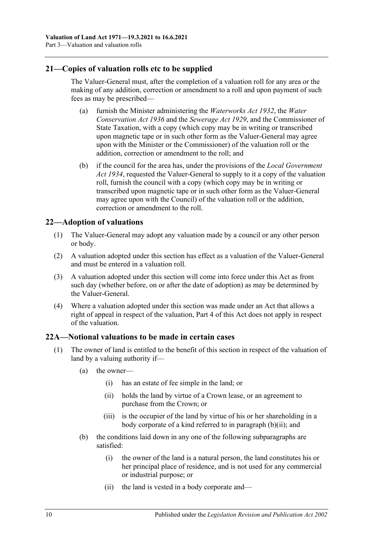### <span id="page-9-0"></span>**21—Copies of valuation rolls etc to be supplied**

The Valuer-General must, after the completion of a valuation roll for any area or the making of any addition, correction or amendment to a roll and upon payment of such fees as may be prescribed—

- (a) furnish the Minister administering the *[Waterworks Act](http://www.legislation.sa.gov.au/index.aspx?action=legref&type=act&legtitle=Waterworks%20Act%201932) 1932*, the *[Water](http://www.legislation.sa.gov.au/index.aspx?action=legref&type=act&legtitle=Water%20Conservation%20Act%201936)  [Conservation Act](http://www.legislation.sa.gov.au/index.aspx?action=legref&type=act&legtitle=Water%20Conservation%20Act%201936) 1936* and the *[Sewerage Act](http://www.legislation.sa.gov.au/index.aspx?action=legref&type=act&legtitle=Sewerage%20Act%201929) 1929*, and the Commissioner of State Taxation, with a copy (which copy may be in writing or transcribed upon magnetic tape or in such other form as the Valuer-General may agree upon with the Minister or the Commissioner) of the valuation roll or the addition, correction or amendment to the roll; and
- (b) if the council for the area has, under the provisions of the *[Local Government](http://www.legislation.sa.gov.au/index.aspx?action=legref&type=act&legtitle=Local%20Government%20Act%201934)  Act [1934](http://www.legislation.sa.gov.au/index.aspx?action=legref&type=act&legtitle=Local%20Government%20Act%201934)*, requested the Valuer-General to supply to it a copy of the valuation roll, furnish the council with a copy (which copy may be in writing or transcribed upon magnetic tape or in such other form as the Valuer-General may agree upon with the Council) of the valuation roll or the addition, correction or amendment to the roll.

### <span id="page-9-1"></span>**22—Adoption of valuations**

- (1) The Valuer-General may adopt any valuation made by a council or any other person or body.
- (2) A valuation adopted under this section has effect as a valuation of the Valuer-General and must be entered in a valuation roll.
- (3) A valuation adopted under this section will come into force under this Act as from such day (whether before, on or after the date of adoption) as may be determined by the Valuer-General.
- (4) Where a valuation adopted under this section was made under an Act that allows a right of appeal in respect of the valuation, [Part 4](#page-12-0) of this Act does not apply in respect of the valuation.

#### <span id="page-9-2"></span>**22A—Notional valuations to be made in certain cases**

- <span id="page-9-4"></span><span id="page-9-3"></span>(1) The owner of land is entitled to the benefit of this section in respect of the valuation of land by a valuing authority if—
	- (a) the owner—
		- (i) has an estate of fee simple in the land; or
		- (ii) holds the land by virtue of a Crown lease, or an agreement to purchase from the Crown; or
		- (iii) is the occupier of the land by virtue of his or her shareholding in a body corporate of a kind referred to in [paragraph](#page-9-3) (b)(ii); and
	- (b) the conditions laid down in any one of the following subparagraphs are satisfied:
		- (i) the owner of the land is a natural person, the land constitutes his or her principal place of residence, and is not used for any commercial or industrial purpose; or
		- (ii) the land is vested in a body corporate and—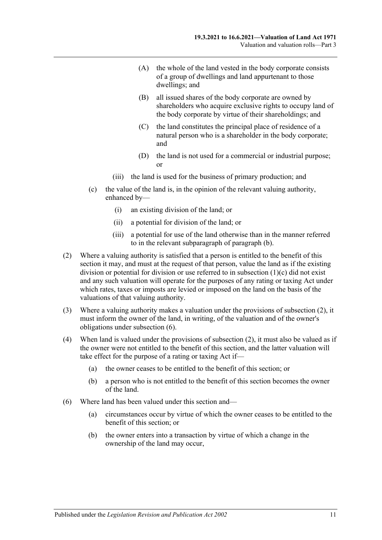- (A) the whole of the land vested in the body corporate consists of a group of dwellings and land appurtenant to those dwellings; and
- (B) all issued shares of the body corporate are owned by shareholders who acquire exclusive rights to occupy land of the body corporate by virtue of their shareholdings; and
- (C) the land constitutes the principal place of residence of a natural person who is a shareholder in the body corporate; and
- (D) the land is not used for a commercial or industrial purpose; or
- (iii) the land is used for the business of primary production; and
- <span id="page-10-0"></span>(c) the value of the land is, in the opinion of the relevant valuing authority, enhanced by—
	- (i) an existing division of the land; or
	- (ii) a potential for division of the land; or
	- (iii) a potential for use of the land otherwise than in the manner referred to in the relevant subparagraph of [paragraph](#page-9-4) (b).
- <span id="page-10-1"></span>(2) Where a valuing authority is satisfied that a person is entitled to the benefit of this section it may, and must at the request of that person, value the land as if the existing division or potential for division or use referred to in [subsection](#page-10-0) (1)(c) did not exist and any such valuation will operate for the purposes of any rating or taxing Act under which rates, taxes or imposts are levied or imposed on the land on the basis of the valuations of that valuing authority.
- (3) Where a valuing authority makes a valuation under the provisions of [subsection](#page-10-1) (2), it must inform the owner of the land, in writing, of the valuation and of the owner's obligations under [subsection](#page-10-2) (6).
- (4) When land is valued under the provisions of [subsection](#page-10-1) (2), it must also be valued as if the owner were not entitled to the benefit of this section, and the latter valuation will take effect for the purpose of a rating or taxing Act if—
	- (a) the owner ceases to be entitled to the benefit of this section; or
	- (b) a person who is not entitled to the benefit of this section becomes the owner of the land.
- <span id="page-10-2"></span>(6) Where land has been valued under this section and—
	- (a) circumstances occur by virtue of which the owner ceases to be entitled to the benefit of this section; or
	- (b) the owner enters into a transaction by virtue of which a change in the ownership of the land may occur,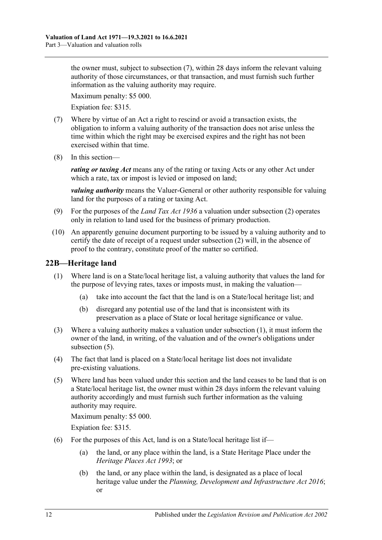the owner must, subject to [subsection](#page-11-1) (7), within 28 days inform the relevant valuing authority of those circumstances, or that transaction, and must furnish such further information as the valuing authority may require.

Maximum penalty: \$5 000.

Expiation fee: \$315.

- <span id="page-11-1"></span>(7) Where by virtue of an Act a right to rescind or avoid a transaction exists, the obligation to inform a valuing authority of the transaction does not arise unless the time within which the right may be exercised expires and the right has not been exercised within that time.
- (8) In this section—

*rating or taxing Act* means any of the rating or taxing Acts or any other Act under which a rate, tax or impost is levied or imposed on land;

*valuing authority* means the Valuer-General or other authority responsible for valuing land for the purposes of a rating or taxing Act.

- (9) For the purposes of the *[Land Tax Act](http://www.legislation.sa.gov.au/index.aspx?action=legref&type=act&legtitle=Land%20Tax%20Act%201936) 1936* a valuation under [subsection](#page-10-1) (2) operates only in relation to land used for the business of primary production.
- (10) An apparently genuine document purporting to be issued by a valuing authority and to certify the date of receipt of a request under [subsection](#page-10-1) (2) will, in the absence of proof to the contrary, constitute proof of the matter so certified.

## <span id="page-11-2"></span><span id="page-11-0"></span>**22B—Heritage land**

- (1) Where land is on a State/local heritage list, a valuing authority that values the land for the purpose of levying rates, taxes or imposts must, in making the valuation—
	- (a) take into account the fact that the land is on a State/local heritage list; and
	- (b) disregard any potential use of the land that is inconsistent with its preservation as a place of State or local heritage significance or value.
- (3) Where a valuing authority makes a valuation under [subsection](#page-11-2) (1), it must inform the owner of the land, in writing, of the valuation and of the owner's obligations under [subsection](#page-11-3) (5).
- (4) The fact that land is placed on a State/local heritage list does not invalidate pre-existing valuations.
- <span id="page-11-3"></span>(5) Where land has been valued under this section and the land ceases to be land that is on a State/local heritage list, the owner must within 28 days inform the relevant valuing authority accordingly and must furnish such further information as the valuing authority may require.

Maximum penalty: \$5 000.

Expiation fee: \$315.

- (6) For the purposes of this Act, land is on a State/local heritage list if—
	- (a) the land, or any place within the land, is a State Heritage Place under the *[Heritage Places Act](http://www.legislation.sa.gov.au/index.aspx?action=legref&type=act&legtitle=Heritage%20Places%20Act%201993) 1993*; or
	- (b) the land, or any place within the land, is designated as a place of local heritage value under the *[Planning, Development and Infrastructure Act](http://www.legislation.sa.gov.au/index.aspx?action=legref&type=act&legtitle=Planning%20Development%20and%20Infrastructure%20Act%202016) 2016*; or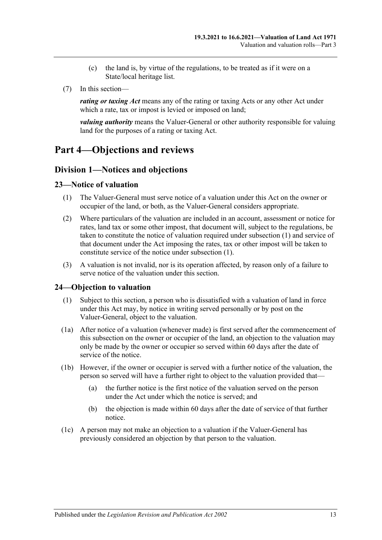- (c) the land is, by virtue of the regulations, to be treated as if it were on a State/local heritage list.
- (7) In this section—

*rating or taxing Act* means any of the rating or taxing Acts or any other Act under which a rate, tax or impost is levied or imposed on land;

*valuing authority* means the Valuer-General or other authority responsible for valuing land for the purposes of a rating or taxing Act.

## <span id="page-12-1"></span><span id="page-12-0"></span>**Part 4—Objections and reviews**

### **Division 1—Notices and objections**

#### <span id="page-12-4"></span><span id="page-12-2"></span>**23—Notice of valuation**

- (1) The Valuer-General must serve notice of a valuation under this Act on the owner or occupier of the land, or both, as the Valuer-General considers appropriate.
- (2) Where particulars of the valuation are included in an account, assessment or notice for rates, land tax or some other impost, that document will, subject to the regulations, be taken to constitute the notice of valuation required under [subsection](#page-12-4) (1) and service of that document under the Act imposing the rates, tax or other impost will be taken to constitute service of the notice under [subsection](#page-12-4) (1).
- (3) A valuation is not invalid, nor is its operation affected, by reason only of a failure to serve notice of the valuation under this section.

#### <span id="page-12-5"></span><span id="page-12-3"></span>**24—Objection to valuation**

- (1) Subject to this section, a person who is dissatisfied with a valuation of land in force under this Act may, by notice in writing served personally or by post on the Valuer-General, object to the valuation.
- (1a) After notice of a valuation (whenever made) is first served after the commencement of this subsection on the owner or occupier of the land, an objection to the valuation may only be made by the owner or occupier so served within 60 days after the date of service of the notice.
- (1b) However, if the owner or occupier is served with a further notice of the valuation, the person so served will have a further right to object to the valuation provided that—
	- (a) the further notice is the first notice of the valuation served on the person under the Act under which the notice is served; and
	- (b) the objection is made within 60 days after the date of service of that further notice.
- (1c) A person may not make an objection to a valuation if the Valuer-General has previously considered an objection by that person to the valuation.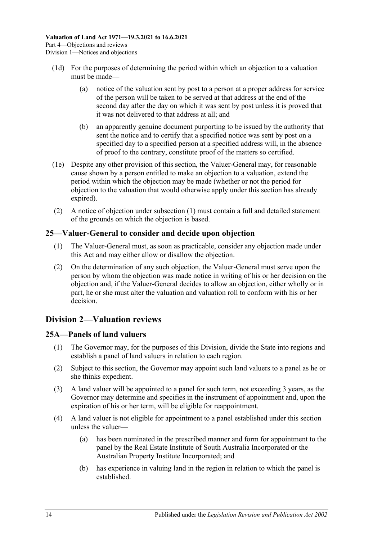- (1d) For the purposes of determining the period within which an objection to a valuation must be made—
	- (a) notice of the valuation sent by post to a person at a proper address for service of the person will be taken to be served at that address at the end of the second day after the day on which it was sent by post unless it is proved that it was not delivered to that address at all; and
	- (b) an apparently genuine document purporting to be issued by the authority that sent the notice and to certify that a specified notice was sent by post on a specified day to a specified person at a specified address will, in the absence of proof to the contrary, constitute proof of the matters so certified.
- (1e) Despite any other provision of this section, the Valuer-General may, for reasonable cause shown by a person entitled to make an objection to a valuation, extend the period within which the objection may be made (whether or not the period for objection to the valuation that would otherwise apply under this section has already expired).
- (2) A notice of objection under [subsection](#page-12-5) (1) must contain a full and detailed statement of the grounds on which the objection is based.

## <span id="page-13-0"></span>**25—Valuer-General to consider and decide upon objection**

- (1) The Valuer-General must, as soon as practicable, consider any objection made under this Act and may either allow or disallow the objection.
- (2) On the determination of any such objection, the Valuer-General must serve upon the person by whom the objection was made notice in writing of his or her decision on the objection and, if the Valuer-General decides to allow an objection, either wholly or in part, he or she must alter the valuation and valuation roll to conform with his or her decision.

## <span id="page-13-1"></span>**Division 2—Valuation reviews**

## <span id="page-13-2"></span>**25A—Panels of land valuers**

- (1) The Governor may, for the purposes of this Division, divide the State into regions and establish a panel of land valuers in relation to each region.
- (2) Subject to this section, the Governor may appoint such land valuers to a panel as he or she thinks expedient.
- (3) A land valuer will be appointed to a panel for such term, not exceeding 3 years, as the Governor may determine and specifies in the instrument of appointment and, upon the expiration of his or her term, will be eligible for reappointment.
- (4) A land valuer is not eligible for appointment to a panel established under this section unless the valuer—
	- (a) has been nominated in the prescribed manner and form for appointment to the panel by the Real Estate Institute of South Australia Incorporated or the Australian Property Institute Incorporated; and
	- (b) has experience in valuing land in the region in relation to which the panel is established.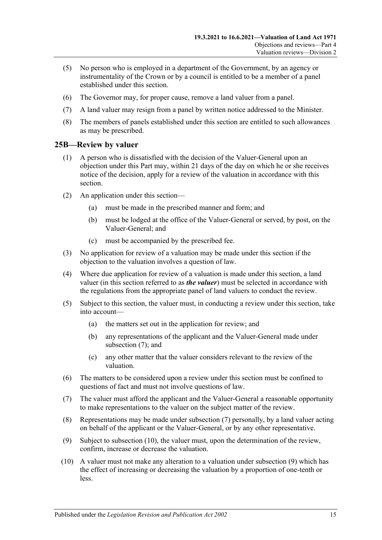- (5) No person who is employed in a department of the Government, by an agency or instrumentality of the Crown or by a council is entitled to be a member of a panel established under this section.
- (6) The Governor may, for proper cause, remove a land valuer from a panel.
- (7) A land valuer may resign from a panel by written notice addressed to the Minister.
- (8) The members of panels established under this section are entitled to such allowances as may be prescribed.

#### <span id="page-14-0"></span>**25B—Review by valuer**

- (1) A person who is dissatisfied with the decision of the Valuer-General upon an objection under this Part may, within 21 days of the day on which he or she receives notice of the decision, apply for a review of the valuation in accordance with this section.
- (2) An application under this section—
	- (a) must be made in the prescribed manner and form; and
	- (b) must be lodged at the office of the Valuer-General or served, by post, on the Valuer-General; and
	- (c) must be accompanied by the prescribed fee.
- (3) No application for review of a valuation may be made under this section if the objection to the valuation involves a question of law.
- (4) Where due application for review of a valuation is made under this section, a land valuer (in this section referred to as *the valuer*) must be selected in accordance with the regulations from the appropriate panel of land valuers to conduct the review.
- (5) Subject to this section, the valuer must, in conducting a review under this section, take into account—
	- (a) the matters set out in the application for review; and
	- (b) any representations of the applicant and the Valuer-General made under [subsection](#page-14-1) (7); and
	- (c) any other matter that the valuer considers relevant to the review of the valuation.
- (6) The matters to be considered upon a review under this section must be confined to questions of fact and must not involve questions of law.
- <span id="page-14-1"></span>(7) The valuer must afford the applicant and the Valuer-General a reasonable opportunity to make representations to the valuer on the subject matter of the review.
- (8) Representations may be made under [subsection](#page-14-1) (7) personally, by a land valuer acting on behalf of the applicant or the Valuer-General, or by any other representative.
- <span id="page-14-3"></span>(9) Subject to [subsection](#page-14-2) (10), the valuer must, upon the determination of the review, confirm, increase or decrease the valuation.
- <span id="page-14-2"></span>(10) A valuer must not make any alteration to a valuation under [subsection](#page-14-3) (9) which has the effect of increasing or decreasing the valuation by a proportion of one-tenth or less.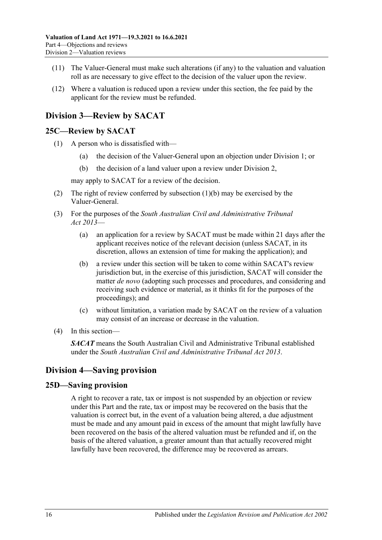- (11) The Valuer-General must make such alterations (if any) to the valuation and valuation roll as are necessary to give effect to the decision of the valuer upon the review.
- (12) Where a valuation is reduced upon a review under this section, the fee paid by the applicant for the review must be refunded.

## <span id="page-15-0"></span>**Division 3—Review by SACAT**

#### <span id="page-15-1"></span>**25C—Review by SACAT**

- <span id="page-15-4"></span>(1) A person who is dissatisfied with—
	- (a) the decision of the Valuer-General upon an objection under [Division 1;](#page-12-1) or
	- (b) the decision of a land valuer upon a review under [Division 2,](#page-13-1)

may apply to SACAT for a review of the decision.

- (2) The right of review conferred by [subsection](#page-15-4) (1)(b) may be exercised by the Valuer-General.
- (3) For the purposes of the *[South Australian Civil and Administrative Tribunal](http://www.legislation.sa.gov.au/index.aspx?action=legref&type=act&legtitle=South%20Australian%20Civil%20and%20Administrative%20Tribunal%20Act%202013)  Act [2013](http://www.legislation.sa.gov.au/index.aspx?action=legref&type=act&legtitle=South%20Australian%20Civil%20and%20Administrative%20Tribunal%20Act%202013)*—
	- (a) an application for a review by SACAT must be made within 21 days after the applicant receives notice of the relevant decision (unless SACAT, in its discretion, allows an extension of time for making the application); and
	- (b) a review under this section will be taken to come within SACAT's review jurisdiction but, in the exercise of this jurisdiction, SACAT will consider the matter *de novo* (adopting such processes and procedures, and considering and receiving such evidence or material, as it thinks fit for the purposes of the proceedings); and
	- (c) without limitation, a variation made by SACAT on the review of a valuation may consist of an increase or decrease in the valuation.
- (4) In this section—

*SACAT* means the South Australian Civil and Administrative Tribunal established under the *[South Australian Civil and Administrative Tribunal Act](http://www.legislation.sa.gov.au/index.aspx?action=legref&type=act&legtitle=South%20Australian%20Civil%20and%20Administrative%20Tribunal%20Act%202013) 2013*.

## <span id="page-15-2"></span>**Division 4—Saving provision**

#### <span id="page-15-3"></span>**25D—Saving provision**

A right to recover a rate, tax or impost is not suspended by an objection or review under this Part and the rate, tax or impost may be recovered on the basis that the valuation is correct but, in the event of a valuation being altered, a due adjustment must be made and any amount paid in excess of the amount that might lawfully have been recovered on the basis of the altered valuation must be refunded and if, on the basis of the altered valuation, a greater amount than that actually recovered might lawfully have been recovered, the difference may be recovered as arrears.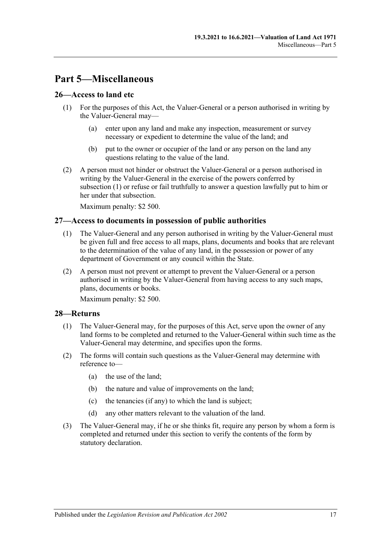## <span id="page-16-0"></span>**Part 5—Miscellaneous**

#### <span id="page-16-4"></span><span id="page-16-1"></span>**26—Access to land etc**

- (1) For the purposes of this Act, the Valuer-General or a person authorised in writing by the Valuer-General may—
	- (a) enter upon any land and make any inspection, measurement or survey necessary or expedient to determine the value of the land; and
	- (b) put to the owner or occupier of the land or any person on the land any questions relating to the value of the land.
- (2) A person must not hinder or obstruct the Valuer-General or a person authorised in writing by the Valuer-General in the exercise of the powers conferred by [subsection](#page-16-4) (1) or refuse or fail truthfully to answer a question lawfully put to him or her under that subsection.

Maximum penalty: \$2 500.

#### <span id="page-16-2"></span>**27—Access to documents in possession of public authorities**

- (1) The Valuer-General and any person authorised in writing by the Valuer-General must be given full and free access to all maps, plans, documents and books that are relevant to the determination of the value of any land, in the possession or power of any department of Government or any council within the State.
- (2) A person must not prevent or attempt to prevent the Valuer-General or a person authorised in writing by the Valuer-General from having access to any such maps, plans, documents or books.

Maximum penalty: \$2 500.

#### <span id="page-16-5"></span><span id="page-16-3"></span>**28—Returns**

- (1) The Valuer-General may, for the purposes of this Act, serve upon the owner of any land forms to be completed and returned to the Valuer-General within such time as the Valuer-General may determine, and specifies upon the forms.
- (2) The forms will contain such questions as the Valuer-General may determine with reference to—
	- (a) the use of the land;
	- (b) the nature and value of improvements on the land;
	- (c) the tenancies (if any) to which the land is subject;
	- (d) any other matters relevant to the valuation of the land.
- <span id="page-16-6"></span>(3) The Valuer-General may, if he or she thinks fit, require any person by whom a form is completed and returned under this section to verify the contents of the form by statutory declaration.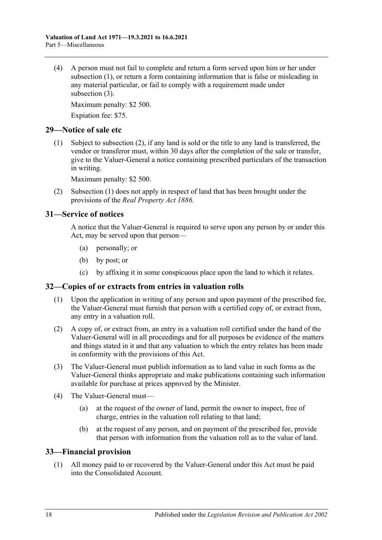(4) A person must not fail to complete and return a form served upon him or her under [subsection](#page-16-5) (1), or return a form containing information that is false or misleading in any material particular, or fail to comply with a requirement made under [subsection](#page-16-6) (3).

Maximum penalty: \$2 500.

Expiation fee: \$75.

#### <span id="page-17-5"></span><span id="page-17-0"></span>**29—Notice of sale etc**

(1) Subject to [subsection](#page-17-4) (2), if any land is sold or the title to any land is transferred, the vendor or transferor must, within 30 days after the completion of the sale or transfer, give to the Valuer-General a notice containing prescribed particulars of the transaction in writing.

Maximum penalty: \$2 500.

<span id="page-17-4"></span>(2) [Subsection](#page-17-5) (1) does not apply in respect of land that has been brought under the provisions of the *[Real Property Act](http://www.legislation.sa.gov.au/index.aspx?action=legref&type=act&legtitle=Real%20Property%20Act%201886) 1886*.

### <span id="page-17-1"></span>**31—Service of notices**

A notice that the Valuer-General is required to serve upon any person by or under this Act, may be served upon that person—

- (a) personally; or
- (b) by post; or
- (c) by affixing it in some conspicuous place upon the land to which it relates.

## <span id="page-17-2"></span>**32—Copies of or extracts from entries in valuation rolls**

- (1) Upon the application in writing of any person and upon payment of the prescribed fee, the Valuer-General must furnish that person with a certified copy of, or extract from, any entry in a valuation roll.
- (2) A copy of, or extract from, an entry in a valuation roll certified under the hand of the Valuer-General will in all proceedings and for all purposes be evidence of the matters and things stated in it and that any valuation to which the entry relates has been made in conformity with the provisions of this Act.
- (3) The Valuer-General must publish information as to land value in such forms as the Valuer-General thinks appropriate and make publications containing such information available for purchase at prices approved by the Minister.
- (4) The Valuer-General must—
	- (a) at the request of the owner of land, permit the owner to inspect, free of charge, entries in the valuation roll relating to that land;
	- (b) at the request of any person, and on payment of the prescribed fee, provide that person with information from the valuation roll as to the value of land.

#### <span id="page-17-3"></span>**33—Financial provision**

(1) All money paid to or recovered by the Valuer-General under this Act must be paid into the Consolidated Account.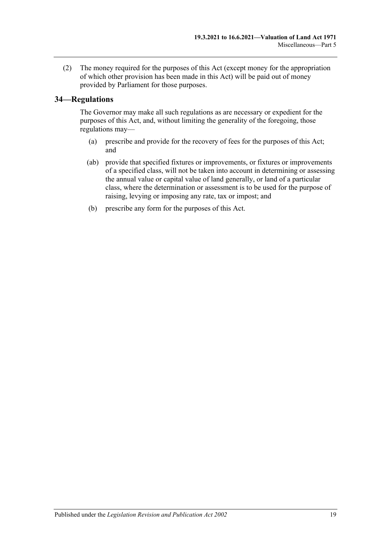(2) The money required for the purposes of this Act (except money for the appropriation of which other provision has been made in this Act) will be paid out of money provided by Parliament for those purposes.

### <span id="page-18-0"></span>**34—Regulations**

The Governor may make all such regulations as are necessary or expedient for the purposes of this Act, and, without limiting the generality of the foregoing, those regulations may—

- (a) prescribe and provide for the recovery of fees for the purposes of this Act; and
- (ab) provide that specified fixtures or improvements, or fixtures or improvements of a specified class, will not be taken into account in determining or assessing the annual value or capital value of land generally, or land of a particular class, where the determination or assessment is to be used for the purpose of raising, levying or imposing any rate, tax or impost; and
- (b) prescribe any form for the purposes of this Act.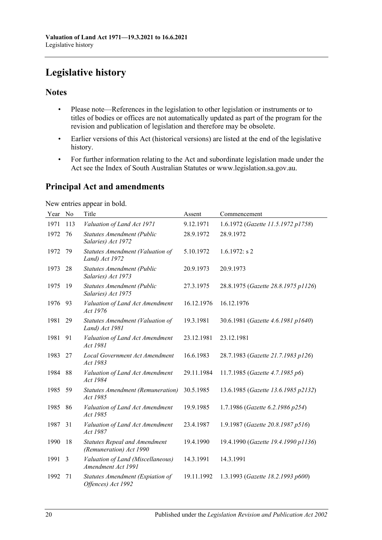## <span id="page-19-0"></span>**Legislative history**

## **Notes**

- Please note—References in the legislation to other legislation or instruments or to titles of bodies or offices are not automatically updated as part of the program for the revision and publication of legislation and therefore may be obsolete.
- Earlier versions of this Act (historical versions) are listed at the end of the legislative history.
- For further information relating to the Act and subordinate legislation made under the Act see the Index of South Australian Statutes or www.legislation.sa.gov.au.

## **Principal Act and amendments**

New entries appear in bold.

| Year | No  | Title                                                           | Assent     | Commencement                        |
|------|-----|-----------------------------------------------------------------|------------|-------------------------------------|
| 1971 | 113 | Valuation of Land Act 1971                                      | 9.12.1971  | 1.6.1972 (Gazette 11.5.1972 p1758)  |
| 1972 | 76  | <b>Statutes Amendment (Public</b><br>Salaries) Act 1972         | 28.9.1972  | 28.9.1972                           |
| 1972 | 79  | Statutes Amendment (Valuation of<br>Land) Act 1972              | 5.10.1972  | $1.6.1972$ : s 2                    |
| 1973 | 28  | <b>Statutes Amendment (Public</b><br>Salaries) Act 1973         | 20.9.1973  | 20.9.1973                           |
| 1975 | 19  | <b>Statutes Amendment (Public</b><br>Salaries) Act 1975         | 27.3.1975  | 28.8.1975 (Gazette 28.8.1975 p1126) |
| 1976 | 93  | Valuation of Land Act Amendment<br>Act 1976                     | 16.12.1976 | 16.12.1976                          |
| 1981 | 29  | Statutes Amendment (Valuation of<br>Land) Act 1981              | 19.3.1981  | 30.6.1981 (Gazette 4.6.1981 p1640)  |
| 1981 | 91  | Valuation of Land Act Amendment<br>Act 1981                     | 23.12.1981 | 23.12.1981                          |
| 1983 | 27  | Local Government Act Amendment<br>Act 1983                      | 16.6.1983  | 28.7.1983 (Gazette 21.7.1983 p126)  |
| 1984 | 88  | Valuation of Land Act Amendment<br>Act 1984                     | 29.11.1984 | 11.7.1985 (Gazette 4.7.1985 p6)     |
| 1985 | 59  | <b>Statutes Amendment (Remuneration)</b><br>Act 1985            | 30.5.1985  | 13.6.1985 (Gazette 13.6.1985 p2132) |
| 1985 | 86  | Valuation of Land Act Amendment<br>Act 1985                     | 19.9.1985  | 1.7.1986 (Gazette 6.2.1986 p254)    |
| 1987 | 31  | Valuation of Land Act Amendment<br>Act 1987                     | 23.4.1987  | 1.9.1987 (Gazette 20.8.1987 p516)   |
| 1990 | 18  | <b>Statutes Repeal and Amendment</b><br>(Remuneration) Act 1990 | 19.4.1990  | 19.4.1990 (Gazette 19.4.1990 p1136) |
| 1991 | 3   | Valuation of Land (Miscellaneous)<br>Amendment Act 1991         | 14.3.1991  | 14.3.1991                           |
| 1992 | 71  | Statutes Amendment (Expiation of<br>Offences) Act 1992          | 19.11.1992 | 1.3.1993 (Gazette 18.2.1993 p600)   |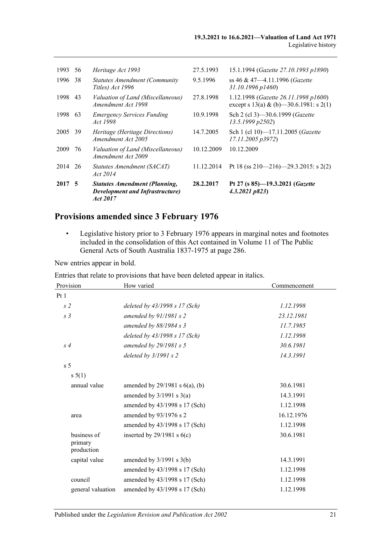| 2017 5 |    | <b>Statutes Amendment (Planning,</b><br><b>Development and Infrastructure</b> )<br><i>Act 2017</i> | 28.2.2017  | Pt 27 (s 85)-19.3.2021 (Gazette<br>4.3.2021 p823                                |
|--------|----|----------------------------------------------------------------------------------------------------|------------|---------------------------------------------------------------------------------|
| 2014   | 26 | Statutes Amendment (SACAT)<br><i>Act</i> 2014                                                      | 11.12.2014 | Pt 18 (ss 210–216)–29.3.2015: s 2(2)                                            |
| 2009   | 76 | Valuation of Land (Miscellaneous)<br>Amendment Act 2009                                            | 10.12.2009 | 10.12.2009                                                                      |
| 2005   | 39 | Heritage (Heritage Directions)<br>Amendment Act 2005                                               | 14.7.2005  | Sch 1 (cl 10)-17.11.2005 (Gazette<br>17.11.2005 p3972)                          |
| 1998   | 63 | <b>Emergency Services Funding</b><br>Act 1998                                                      | 10.9.1998  | Sch 2 (cl 3)-30.6.1999 (Gazette<br>13.5.1999 p2502                              |
| 1998   | 43 | Valuation of Land (Miscellaneous)<br>Amendment Act 1998                                            | 27.8.1998  | 1.12.1998 (Gazette 26.11.1998 p1600)<br>except s 13(a) & (b) -30.6.1981: s 2(1) |
| 1996   | 38 | <b>Statutes Amendment (Community)</b><br>Titles) Act 1996                                          | 9.5.1996   | ss 46 & 47—4.11.1996 (Gazette<br>$31.10.1996 \, p1460$                          |
| 1993   | 56 | Heritage Act 1993                                                                                  | 27.5.1993  | 15.1.1994 (Gazette 27.10.1993 p1890)                                            |
|        |    |                                                                                                    |            |                                                                                 |

## **Provisions amended since 3 February 1976**

• Legislative history prior to 3 February 1976 appears in marginal notes and footnotes included in the consolidation of this Act contained in Volume 11 of The Public General Acts of South Australia 1837-1975 at page 286.

New entries appear in bold.

Entries that relate to provisions that have been deleted appear in italics.

| Provision                            | How varied                          | Commencement |
|--------------------------------------|-------------------------------------|--------------|
| Pt1                                  |                                     |              |
| s <sub>2</sub>                       | deleted by $43/1998 s 17$ (Sch)     | 1.12.1998    |
| s <sub>3</sub>                       | amended by $91/1981 s$ 2            | 23.12.1981   |
|                                      | amended by $88/1984 s$ 3            | 11.7.1985    |
|                                      | deleted by $43/1998 s 17$ (Sch)     | 1.12.1998    |
| s <sub>4</sub>                       | amended by $29/1981 s 5$            | 30.6.1981    |
|                                      | deleted by $3/1991 s 2$             | 14.3.1991    |
| s <sub>5</sub>                       |                                     |              |
| s 5(1)                               |                                     |              |
| annual value                         | amended by $29/1981$ s $6(a)$ , (b) | 30.6.1981    |
|                                      | amended by $3/1991$ s $3(a)$        | 14.3.1991    |
|                                      | amended by 43/1998 s 17 (Sch)       | 1.12.1998    |
| area                                 | amended by 93/1976 s 2              | 16.12.1976   |
|                                      | amended by 43/1998 s 17 (Sch)       | 1.12.1998    |
| business of<br>primary<br>production | inserted by $29/1981$ s $6(c)$      | 30.6.1981    |
| capital value                        | amended by $3/1991$ s $3(b)$        | 14.3.1991    |
|                                      | amended by 43/1998 s 17 (Sch)       | 1.12.1998    |
| council                              | amended by 43/1998 s 17 (Sch)       | 1.12.1998    |
| general valuation                    | amended by 43/1998 s 17 (Sch)       | 1.12.1998    |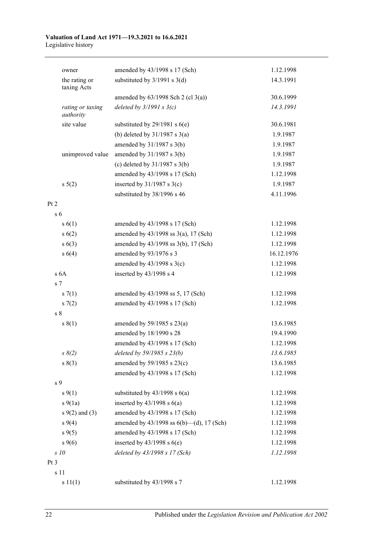#### **Valuation of Land Act 1971—19.3.2021 to 16.6.2021** Legislative history

| owner                         | amended by 43/1998 s 17 (Sch)                  | 1.12.1998  |
|-------------------------------|------------------------------------------------|------------|
| the rating or<br>taxing Acts  | substituted by $3/1991$ s $3(d)$               | 14.3.1991  |
|                               | amended by $63/1998$ Sch 2 (cl 3(a))           | 30.6.1999  |
| rating or taxing<br>authority | deleted by $3/1991 s 3(c)$                     | 14.3.1991  |
| site value                    | substituted by $29/1981$ s $6(e)$              | 30.6.1981  |
|                               | (b) deleted by $31/1987$ s $3(a)$              | 1.9.1987   |
|                               | amended by $31/1987$ s $3(b)$                  | 1.9.1987   |
| unimproved value              | amended by $31/1987$ s $3(b)$                  | 1.9.1987   |
|                               | (c) deleted by $31/1987$ s $3(b)$              | 1.9.1987   |
|                               | amended by 43/1998 s 17 (Sch)                  | 1.12.1998  |
| $s\ 5(2)$                     | inserted by $31/1987$ s $3(c)$                 | 1.9.1987   |
|                               | substituted by 38/1996 s 46                    | 4.11.1996  |
| Pt 2                          |                                                |            |
| s <sub>6</sub>                |                                                |            |
| s(6(1))                       | amended by 43/1998 s 17 (Sch)                  | 1.12.1998  |
| s(6(2))                       | amended by $43/1998$ ss $3(a)$ , 17 (Sch)      | 1.12.1998  |
| s(6(3))                       | amended by 43/1998 ss 3(b), 17 (Sch)           | 1.12.1998  |
| s 6(4)                        | amended by 93/1976 s 3                         | 16.12.1976 |
|                               | amended by $43/1998$ s $3(c)$                  | 1.12.1998  |
| s <sub>6A</sub>               | inserted by 43/1998 s 4                        | 1.12.1998  |
| s <sub>7</sub>                |                                                |            |
| s(7(1))                       | amended by 43/1998 ss 5, 17 (Sch)              | 1.12.1998  |
| s(7(2)                        | amended by 43/1998 s 17 (Sch)                  | 1.12.1998  |
| s <sub>8</sub>                |                                                |            |
| s(1)                          | amended by $59/1985$ s $23(a)$                 | 13.6.1985  |
|                               | amended by 18/1990 s 28                        | 19.4.1990  |
|                               | amended by 43/1998 s 17 (Sch)                  | 1.12.1998  |
| $s \, 8(2)$                   | deleted by 59/1985 s 23(b)                     | 13.6.1985  |
| s(3)                          | amended by 59/1985 s 23(c)                     | 13.6.1985  |
|                               | amended by 43/1998 s 17 (Sch)                  | 1.12.1998  |
| s 9                           |                                                |            |
| $s \, 9(1)$                   | substituted by $43/1998$ s $6(a)$              | 1.12.1998  |
| $s\ 9(1a)$                    | inserted by $43/1998$ s $6(a)$                 | 1.12.1998  |
| $s \, 9(2)$ and (3)           | amended by 43/1998 s 17 (Sch)                  | 1.12.1998  |
| $s \, 9(4)$                   | amended by $43/1998$ ss $6(b)$ - (d), 17 (Sch) | 1.12.1998  |
| $s \, 9(5)$                   | amended by 43/1998 s 17 (Sch)                  | 1.12.1998  |
| $s \, 9(6)$                   | inserted by $43/1998$ s $6(e)$                 | 1.12.1998  |
| s10                           | deleted by 43/1998 s 17 (Sch)                  | 1.12.1998  |
| Pt <sub>3</sub>               |                                                |            |
| s 11                          |                                                |            |
| s 11(1)                       | substituted by 43/1998 s 7                     | 1.12.1998  |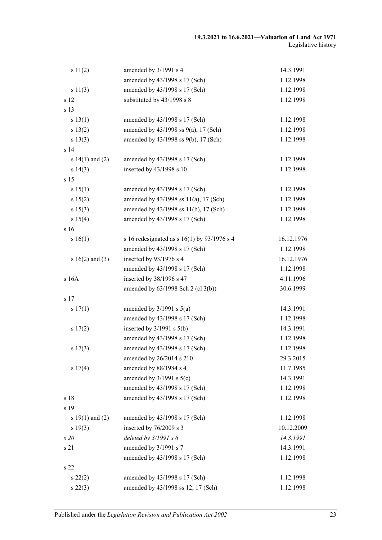| s 11(2)             | amended by 3/1991 s 4                         | 14.3.1991  |
|---------------------|-----------------------------------------------|------------|
|                     | amended by 43/1998 s 17 (Sch)                 | 1.12.1998  |
| s 11(3)             | amended by 43/1998 s 17 (Sch)                 | 1.12.1998  |
| s 12                | substituted by 43/1998 s 8                    | 1.12.1998  |
| s 13                |                                               |            |
| s 13(1)             | amended by 43/1998 s 17 (Sch)                 | 1.12.1998  |
| s 13(2)             | amended by 43/1998 ss 9(a), 17 (Sch)          | 1.12.1998  |
| s 13(3)             | amended by 43/1998 ss 9(b), 17 (Sch)          | 1.12.1998  |
| s <sub>14</sub>     |                                               |            |
| s $14(1)$ and $(2)$ | amended by 43/1998 s 17 (Sch)                 | 1.12.1998  |
| s 14(3)             | inserted by 43/1998 s 10                      | 1.12.1998  |
| s 15                |                                               |            |
| s 15(1)             | amended by 43/1998 s 17 (Sch)                 | 1.12.1998  |
| s 15(2)             | amended by 43/1998 ss 11(a), 17 (Sch)         | 1.12.1998  |
| s 15(3)             | amended by 43/1998 ss 11(b), 17 (Sch)         | 1.12.1998  |
| s 15(4)             | amended by 43/1998 s 17 (Sch)                 | 1.12.1998  |
| s 16                |                                               |            |
| s 16(1)             | s 16 redesignated as s $16(1)$ by 93/1976 s 4 | 16.12.1976 |
|                     | amended by 43/1998 s 17 (Sch)                 | 1.12.1998  |
| s $16(2)$ and $(3)$ | inserted by 93/1976 s 4                       | 16.12.1976 |
|                     | amended by 43/1998 s 17 (Sch)                 | 1.12.1998  |
| s 16A               | inserted by 38/1996 s 47                      | 4.11.1996  |
|                     | amended by 63/1998 Sch 2 (cl 3(b))            | 30.6.1999  |
| s 17                |                                               |            |
| s 17(1)             | amended by $3/1991$ s $5(a)$                  | 14.3.1991  |
|                     | amended by 43/1998 s 17 (Sch)                 | 1.12.1998  |
| s 17(2)             | inserted by $3/1991$ s $5(b)$                 | 14.3.1991  |
|                     | amended by 43/1998 s 17 (Sch)                 | 1.12.1998  |
| s 17(3)             | amended by 43/1998 s 17 (Sch)                 | 1.12.1998  |
|                     | amended by 26/2014 s 210                      | 29.3.2015  |
| s 17(4)             | amended by 88/1984 s 4                        | 11.7.1985  |
|                     | amended by $3/1991$ s $5(c)$                  | 14.3.1991  |
|                     | amended by 43/1998 s 17 (Sch)                 | 1.12.1998  |
| s 18                | amended by 43/1998 s 17 (Sch)                 | 1.12.1998  |
| s 19                |                                               |            |
| s $19(1)$ and $(2)$ | amended by 43/1998 s 17 (Sch)                 | 1.12.1998  |
| s 19(3)             | inserted by 76/2009 s 3                       | 10.12.2009 |
| s20                 | deleted by $3/1991 s 6$                       | 14.3.1991  |
| s 21                | amended by 3/1991 s 7                         | 14.3.1991  |
|                     | amended by 43/1998 s 17 (Sch)                 | 1.12.1998  |
| s 22                |                                               |            |
| $s\,22(2)$          | amended by 43/1998 s 17 (Sch)                 | 1.12.1998  |
| $s\,22(3)$          | amended by 43/1998 ss 12, 17 (Sch)            | 1.12.1998  |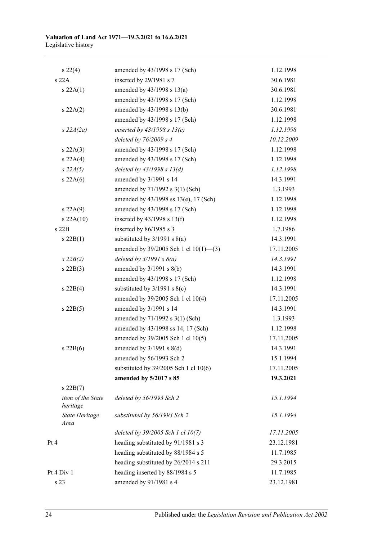| $s\,22(4)$                    | amended by 43/1998 s 17 (Sch)         | 1.12.1998  |
|-------------------------------|---------------------------------------|------------|
| s 22A                         | inserted by 29/1981 s 7               | 30.6.1981  |
| s 22A(1)                      | amended by $43/1998$ s $13(a)$        | 30.6.1981  |
|                               | amended by 43/1998 s 17 (Sch)         | 1.12.1998  |
| s 22A(2)                      | amended by 43/1998 s 13(b)            | 30.6.1981  |
|                               | amended by 43/1998 s 17 (Sch)         | 1.12.1998  |
| $s$ 22A(2a)                   | inserted by $43/1998$ s $13(c)$       | 1.12.1998  |
|                               | deleted by $76/2009 s 4$              | 10.12.2009 |
| s 22A(3)                      | amended by 43/1998 s 17 (Sch)         | 1.12.1998  |
| s 22A(4)                      | amended by 43/1998 s 17 (Sch)         | 1.12.1998  |
| $s\,22A(5)$                   | deleted by $43/1998 s 13(d)$          | 1.12.1998  |
| s 22A(6)                      | amended by 3/1991 s 14                | 14.3.1991  |
|                               | amended by 71/1992 s 3(1) (Sch)       | 1.3.1993   |
|                               | amended by 43/1998 ss 13(e), 17 (Sch) | 1.12.1998  |
| s 22A(9)                      | amended by 43/1998 s 17 (Sch)         | 1.12.1998  |
| $s$ 22A $(10)$                | inserted by $43/1998$ s $13(f)$       | 1.12.1998  |
| $s$ 22 $B$                    | inserted by 86/1985 s 3               | 1.7.1986   |
| $s\ 22B(1)$                   | substituted by $3/1991$ s $8(a)$      | 14.3.1991  |
|                               | amended by 39/2005 Sch 1 cl 10(1)-(3) | 17.11.2005 |
| $s\,22B(2)$                   | deleted by $3/1991 s 8(a)$            | 14.3.1991  |
| $s$ 22B(3)                    | amended by $3/1991$ s $8(b)$          | 14.3.1991  |
|                               | amended by 43/1998 s 17 (Sch)         | 1.12.1998  |
| $s\ 22B(4)$                   | substituted by $3/1991$ s $8(c)$      | 14.3.1991  |
|                               | amended by 39/2005 Sch 1 cl 10(4)     | 17.11.2005 |
| $s$ 22B(5)                    | amended by 3/1991 s 14                | 14.3.1991  |
|                               | amended by 71/1992 s 3(1) (Sch)       | 1.3.1993   |
|                               | amended by 43/1998 ss 14, 17 (Sch)    | 1.12.1998  |
|                               | amended by 39/2005 Sch 1 cl 10(5)     | 17.11.2005 |
| $s$ 22B(6)                    | amended by $3/1991$ s $8(d)$          | 14.3.1991  |
|                               | amended by 56/1993 Sch 2              | 15.1.1994  |
|                               | substituted by 39/2005 Sch 1 cl 10(6) | 17.11.2005 |
|                               | amended by 5/2017 s 85                | 19.3.2021  |
| $s$ 22B $(7)$                 |                                       |            |
| item of the State<br>heritage | deleted by 56/1993 Sch 2              | 15.1.1994  |
| State Heritage<br>Area        | substituted by 56/1993 Sch 2          | 15.1.1994  |
|                               | deleted by 39/2005 Sch 1 cl 10(7)     | 17.11.2005 |
| Pt 4                          | heading substituted by 91/1981 s 3    | 23.12.1981 |
|                               | heading substituted by 88/1984 s 5    | 11.7.1985  |
|                               | heading substituted by 26/2014 s 211  | 29.3.2015  |
| Pt 4 Div 1                    | heading inserted by 88/1984 s 5       | 11.7.1985  |
| s 23                          | amended by 91/1981 s 4                | 23.12.1981 |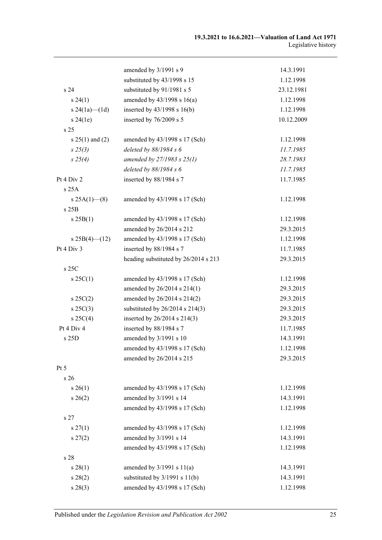|                   | amended by 3/1991 s 9                | 14.3.1991  |
|-------------------|--------------------------------------|------------|
|                   | substituted by 43/1998 s 15          | 1.12.1998  |
| s 24              | substituted by 91/1981 s 5           | 23.12.1981 |
| $s\,24(1)$        | amended by $43/1998$ s $16(a)$       | 1.12.1998  |
| s $24(1a)$ (1d)   | inserted by 43/1998 s 16(b)          | 1.12.1998  |
| s 24(1e)          | inserted by 76/2009 s 5              | 10.12.2009 |
| s 25              |                                      |            |
| $s 25(1)$ and (2) | amended by 43/1998 s 17 (Sch)        | 1.12.1998  |
| $s\,25(3)$        | deleted by 88/1984 s 6               | 11.7.1985  |
| $s \; 25(4)$      | amended by 27/1983 s 25(1)           | 28.7.1983  |
|                   | deleted by $88/1984 s 6$             | 11.7.1985  |
| Pt 4 Div 2        | inserted by 88/1984 s 7              | 11.7.1985  |
| s 25A             |                                      |            |
| s $25A(1)$ (8)    | amended by 43/1998 s 17 (Sch)        | 1.12.1998  |
| s25B              |                                      |            |
| s 25B(1)          | amended by 43/1998 s 17 (Sch)        | 1.12.1998  |
|                   | amended by 26/2014 s 212             | 29.3.2015  |
| $s 25B(4)$ (12)   | amended by 43/1998 s 17 (Sch)        | 1.12.1998  |
| Pt 4 Div 3        | inserted by 88/1984 s 7              | 11.7.1985  |
|                   | heading substituted by 26/2014 s 213 | 29.3.2015  |
| s 25C             |                                      |            |
| $s \, 25C(1)$     | amended by 43/1998 s 17 (Sch)        | 1.12.1998  |
|                   | amended by 26/2014 s 214(1)          | 29.3.2015  |
| $s \, 25C(2)$     | amended by 26/2014 s 214(2)          | 29.3.2015  |
| $s \, 25C(3)$     | substituted by $26/2014$ s $214(3)$  | 29.3.2015  |
| $s \, 25C(4)$     | inserted by 26/2014 s 214(3)         | 29.3.2015  |
| Pt 4 Div 4        | inserted by 88/1984 s 7              | 11.7.1985  |
| s 25D             | amended by 3/1991 s 10               | 14.3.1991  |
|                   | amended by 43/1998 s 17 (Sch)        | 1.12.1998  |
|                   | amended by 26/2014 s 215             | 29.3.2015  |
| Pt <sub>5</sub>   |                                      |            |
| s 26              |                                      |            |
| $s \; 26(1)$      | amended by 43/1998 s 17 (Sch)        | 1.12.1998  |
| $s \, 26(2)$      | amended by 3/1991 s 14               | 14.3.1991  |
|                   | amended by 43/1998 s 17 (Sch)        | 1.12.1998  |
| s 27              |                                      |            |
| $s \, 27(1)$      | amended by 43/1998 s 17 (Sch)        | 1.12.1998  |
| $s\,27(2)$        | amended by 3/1991 s 14               | 14.3.1991  |
|                   | amended by 43/1998 s 17 (Sch)        | 1.12.1998  |
| s 28              |                                      |            |
| $s \, 28(1)$      | amended by $3/1991$ s $11(a)$        | 14.3.1991  |
| $s\,28(2)$        | substituted by $3/1991$ s $11(b)$    | 14.3.1991  |
| $s\,28(3)$        | amended by 43/1998 s 17 (Sch)        | 1.12.1998  |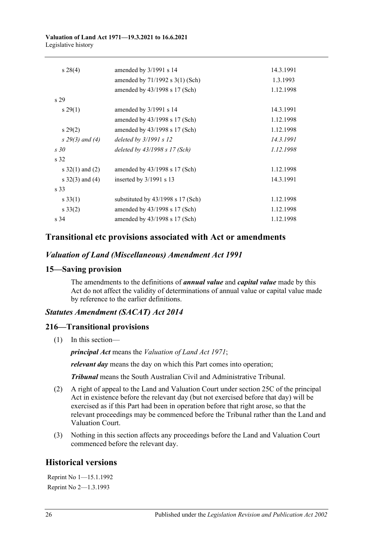#### **Valuation of Land Act 1971—19.3.2021 to 16.6.2021** Legislative history

| $s\,28(4)$        | amended by 3/1991 s 14              | 14.3.1991 |
|-------------------|-------------------------------------|-----------|
|                   | amended by $71/1992$ s $3(1)$ (Sch) | 1.3.1993  |
|                   | amended by 43/1998 s 17 (Sch)       | 1.12.1998 |
| s <sub>29</sub>   |                                     |           |
| $s\,29(1)$        | amended by $3/1991$ s 14            | 14.3.1991 |
|                   | amended by 43/1998 s 17 (Sch)       | 1.12.1998 |
| $s\,29(2)$        | amended by 43/1998 s 17 (Sch)       | 1.12.1998 |
| $s$ 29(3) and (4) | deleted by $3/1991 s 12$            | 14.3.1991 |
| s30               | deleted by 43/1998 s 17 (Sch)       | 1.12.1998 |
| s 32              |                                     |           |
| s $32(1)$ and (2) | amended by 43/1998 s 17 (Sch)       | 1.12.1998 |
| s $32(3)$ and (4) | inserted by $3/1991$ s 13           | 14.3.1991 |
| s 33              |                                     |           |
| $s \, 33(1)$      | substituted by 43/1998 s 17 (Sch)   | 1.12.1998 |
| $s \, 33(2)$      | amended by 43/1998 s 17 (Sch)       | 1.12.1998 |
| s 34              | amended by 43/1998 s 17 (Sch)       | 1.12.1998 |
|                   |                                     |           |

## **Transitional etc provisions associated with Act or amendments**

### *Valuation of Land (Miscellaneous) Amendment Act 1991*

#### **15—Saving provision**

The amendments to the definitions of *annual value* and *capital value* made by this Act do not affect the validity of determinations of annual value or capital value made by reference to the earlier definitions.

#### *Statutes Amendment (SACAT) Act 2014*

#### **216—Transitional provisions**

(1) In this section—

*principal Act* means the *[Valuation of Land Act](http://www.legislation.sa.gov.au/index.aspx?action=legref&type=act&legtitle=Valuation%20of%20Land%20Act%201971) 1971*;

*relevant day* means the day on which this Part comes into operation;

*Tribunal* means the South Australian Civil and Administrative Tribunal.

- (2) A right of appeal to the Land and Valuation Court under section 25C of the principal Act in existence before the relevant day (but not exercised before that day) will be exercised as if this Part had been in operation before that right arose, so that the relevant proceedings may be commenced before the Tribunal rather than the Land and Valuation Court.
- (3) Nothing in this section affects any proceedings before the Land and Valuation Court commenced before the relevant day.

## **Historical versions**

Reprint No 1—15.1.1992 Reprint No 2—1.3.1993